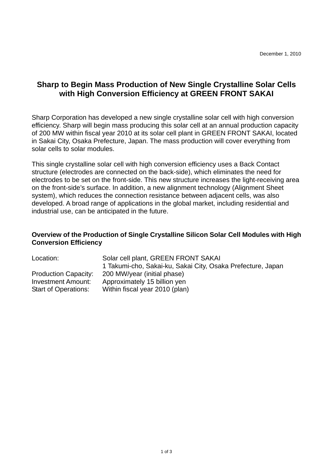## **Sharp to Begin Mass Production of New Single Crystalline Solar Cells with High Conversion Efficiency at GREEN FRONT SAKAI**

Sharp Corporation has developed a new single crystalline solar cell with high conversion efficiency. Sharp will begin mass producing this solar cell at an annual production capacity of 200 MW within fiscal year 2010 at its solar cell plant in GREEN FRONT SAKAI, located in Sakai City, Osaka Prefecture, Japan. The mass production will cover everything from solar cells to solar modules.

This single crystalline solar cell with high conversion efficiency uses a Back Contact structure (electrodes are connected on the back-side), which eliminates the need for electrodes to be set on the front-side. This new structure increases the light-receiving area on the front-side's surface. In addition, a new alignment technology (Alignment Sheet system), which reduces the connection resistance between adjacent cells, was also developed. A broad range of applications in the global market, including residential and industrial use, can be anticipated in the future.

## **Overview of the Production of Single Crystalline Silicon Solar Cell Modules with High Conversion Efficiency**

| Location:                   | Solar cell plant, GREEN FRONT SAKAI                         |
|-----------------------------|-------------------------------------------------------------|
|                             | 1 Takumi-cho, Sakai-ku, Sakai City, Osaka Prefecture, Japan |
| <b>Production Capacity:</b> | 200 MW/year (initial phase)                                 |
| <b>Investment Amount:</b>   | Approximately 15 billion yen                                |
| <b>Start of Operations:</b> | Within fiscal year 2010 (plan)                              |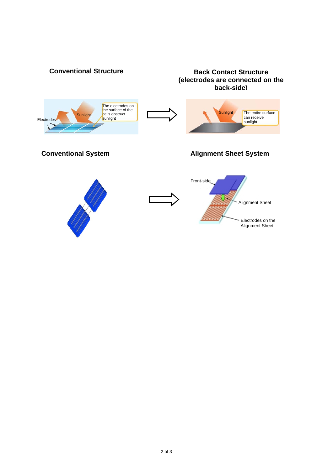